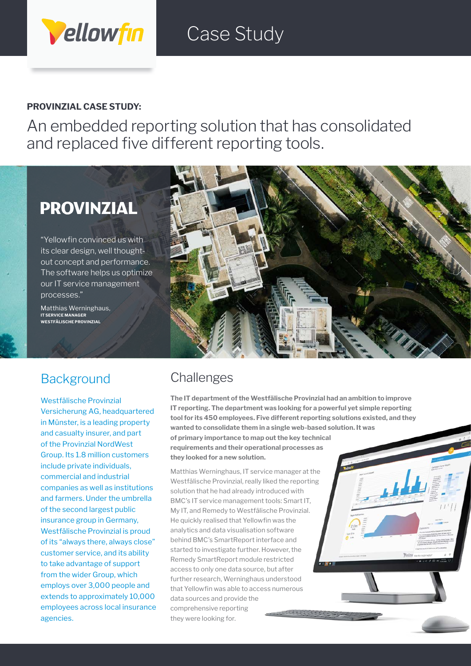# Case Study

#### **PROVINZIAL CASE STUDY:**

Vellowfin

An embedded reporting solution that has consolidated and replaced five different reporting tools.

## **PROVINZIAL**

"Yellowfin convinced us with its clear design, well thoughtout concept and performance. The software helps us optimize our IT service management processes."

Matthias Werninghaus, **IT SERVICE MANAGER WESTFÄLISCHE PROVINZIAL**



### **Background**

Westfälische Provinzial Versicherung AG, headquartered in Münster, is a leading property and casualty insurer, and part of the Provinzial NordWest Group. Its 1.8 million customers include private individuals, commercial and industrial companies as well as institutions and farmers. Under the umbrella of the second largest public insurance group in Germany, Westfälische Provinzial is proud of its "always there, always close" customer service, and its ability to take advantage of support from the wider Group, which employs over 3,000 people and extends to approximately 10,000 employees across local insurance agencies.

### **Challenges**

**The IT department of the Westfälische Provinzial had an ambition to improve IT reporting. The department was looking for a powerful yet simple reporting tool for its 450 employees. Five different reporting solutions existed, and they wanted to consolidate them in a single web-based solution. It was of primary importance to map out the key technical requirements and their operational processes as they looked for a new solution.**

Matthias Werninghaus, IT service manager at the Westfälische Provinzial, really liked the reporting solution that he had already introduced with BMC's IT service management tools: Smart IT, My IT, and Remedy to Westfälische Provinzial. He quickly realised that Yellowfin was the analytics and data visualisation software behind BMC's SmartReport interface and started to investigate further. However, the Remedy SmartReport module restricted access to only one data source, but after further research, Werninghaus understood that Yellowfin was able to access numerous data sources and provide the comprehensive reporting they were looking for.